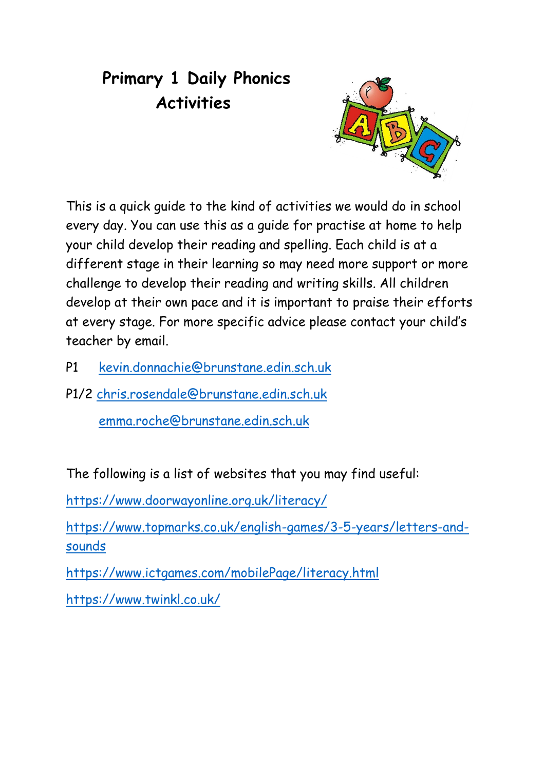## **Primary 1 Daily Phonics Activities**



This is a quick guide to the kind of activities we would do in school every day. You can use this as a guide for practise at home to help your child develop their reading and spelling. Each child is at a different stage in their learning so may need more support or more challenge to develop their reading and writing skills. All children develop at their own pace and it is important to praise their efforts at every stage. For more specific advice please contact your child's teacher by email.

P1 [kevin.donnachie@brunstane.edin.sch.uk](mailto:kevin.donnachie@brunstane.edin.sch.uk)

P1/2 [chris.rosendale@brunstane.edin.sch.uk](mailto:chris.rosendale@brunstane.edin.sch.uk)

[emma.roche@brunstane.edin.sch.uk](mailto:emma.roche@brunstane.edin.sch.uk)

The following is a list of websites that you may find useful:

<https://www.doorwayonline.org.uk/literacy/>

[https://www.topmarks.co.uk/english-games/3-5-years/letters-and](https://www.topmarks.co.uk/english-games/3-5-years/letters-and-sounds)[sounds](https://www.topmarks.co.uk/english-games/3-5-years/letters-and-sounds)

<https://www.ictgames.com/mobilePage/literacy.html>

<https://www.twinkl.co.uk/>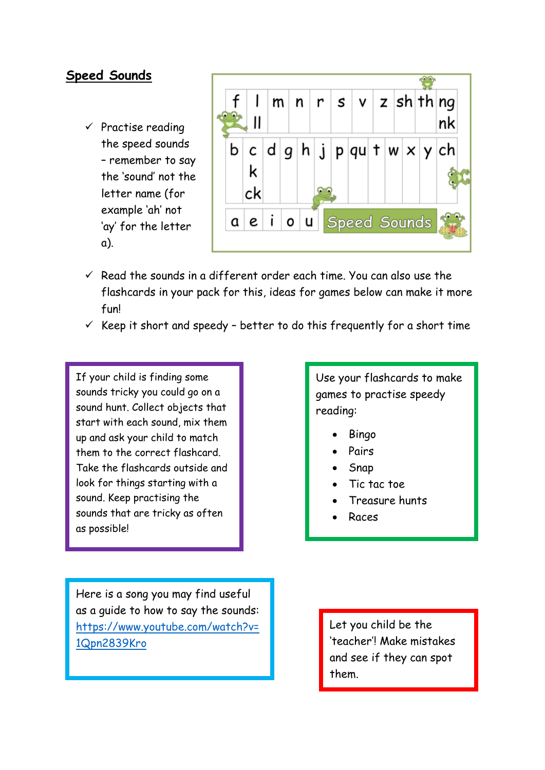## **Speed Sounds**

 $\checkmark$  Practise reading the speed sounds – remember to say the 'sound' not the letter name (for example 'ah' not 'ay' for the letter a).



- $\checkmark$  Read the sounds in a different order each time. You can also use the flashcards in your pack for this, ideas for games below can make it more fun!
- $\checkmark$  Keep it short and speedy better to do this frequently for a short time

If your child is finding some sounds tricky you could go on a sound hunt. Collect objects that start with each sound, mix them up and ask your child to match them to the correct flashcard. Take the flashcards outside and look for things starting with a sound. Keep practising the sounds that are tricky as often as possible!

Here is a song you may find useful as a guide to how to say the sounds: [https://www.youtube.com/watch?v=](https://www.youtube.com/watch?v=1Qpn2839Kro) [1Qpn2839Kro](https://www.youtube.com/watch?v=1Qpn2839Kro)

Use your flashcards to make games to practise speedy reading:

- Bingo
- Pairs
- Snap
- Tic tac toe
- Treasure hunts
- Races

Let you child be the 'teacher'! Make mistakes and see if they can spot them.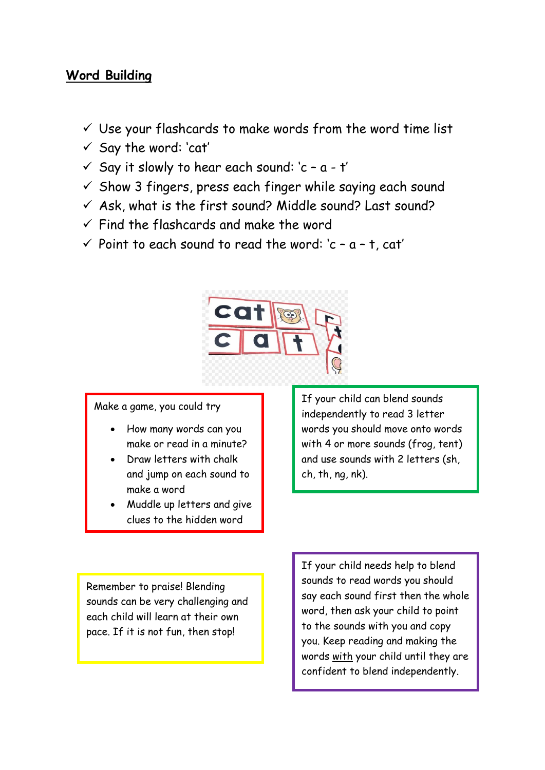## **Word Building**

- $\checkmark$  Use your flashcards to make words from the word time list
- ✓ Say the word: 'cat'
- $\checkmark$  Say it slowly to hear each sound:  $c a t'$
- $\checkmark$  Show 3 fingers, press each finger while saying each sound
- $\checkmark$  Ask, what is the first sound? Middle sound? Last sound?
- $\checkmark$  Find the flashcards and make the word
- $\checkmark$  Point to each sound to read the word:  $c a t$ , cat'



Make a game, you could try

- How many words can you make or read in a minute?
- Draw letters with chalk and jump on each sound to make a word
- Muddle up letters and give clues to the hidden word

If your child can blend sounds independently to read 3 letter words you should move onto words with 4 or more sounds (frog, tent) and use sounds with 2 letters (sh, ch, th, ng, nk).

Remember to praise! Blending sounds can be very challenging and each child will learn at their own pace. If it is not fun, then stop!

If your child needs help to blend sounds to read words you should say each sound first then the whole word, then ask your child to point to the sounds with you and copy you. Keep reading and making the words with your child until they are confident to blend independently.